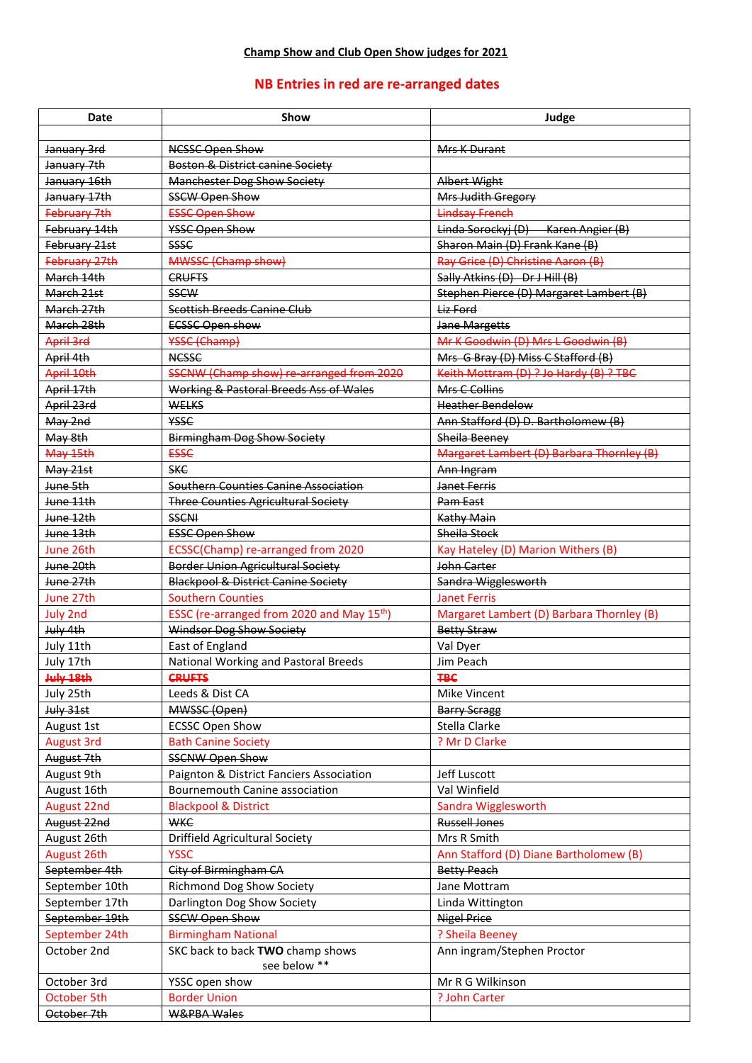## **NB Entries in red are re-arranged dates**

| <b>Date</b>          | Show                                                   | Judge                                     |
|----------------------|--------------------------------------------------------|-------------------------------------------|
|                      |                                                        |                                           |
| January 3rd          | <b>NCSSC Open Show</b>                                 | Mrs K Durant                              |
| January 7th          | <b>Boston &amp; District canine Society</b>            |                                           |
| January 16th         | <b>Manchester Dog Show Society</b>                     | <b>Albert Wight</b>                       |
| January 17th         | <b>SSCW Open Show</b>                                  | Mrs Judith Gregory                        |
| February 7th         | <b>ESSC Open Show</b>                                  | <b>Lindsay French</b>                     |
| February 14th        | YSSC Open Show                                         | Linda Sorockyj (D) Karen Angier (B)       |
| February 21st        | <b>SSSC</b>                                            | Sharon Main (D) Frank Kane (B)            |
| February 27th        | MWSSC (Champ show)                                     | Ray Grice (D) Christine Aaron (B)         |
| March 14th           | <b>CRUFTS</b>                                          | Sally Atkins (D) Dr J Hill (B)            |
| March 21st           | <b>SSCW</b>                                            | Stephen Pierce (D) Margaret Lambert (B)   |
| March 27th           | Scottish Breeds Canine Club                            | Liz Ford                                  |
| March 28th           | <b>ECSSC Open show</b>                                 | <b>Jane Margetts</b>                      |
| April 3rd            | <b>YSSC</b> (Champ)                                    | Mr K Goodwin (D) Mrs L Goodwin (B)        |
| April 4th            | <b>NCSSC</b>                                           | Mrs G Bray (D) Miss C Stafford (B)        |
| April 10th           | SSCNW (Champ show) re-arranged from 2020               | Keith Mottram (D) ? Jo Hardy (B) ? TBC    |
| April 17th           | Working & Pastoral Breeds Ass of Wales                 | Mrs C Collins                             |
| April 23rd           | <b>WELKS</b>                                           | <b>Heather Bendelow</b>                   |
| May 2nd              | <b>YSSC</b>                                            | Ann Stafford (D) D. Bartholomew (B)       |
| May 8th              | <b>Birmingham Dog Show Society</b>                     | Sheila Beeney                             |
| May 15th             | <b>ESSC</b>                                            | Margaret Lambert (D) Barbara Thornley (B) |
| May 21st             | <b>SKC</b>                                             | Ann Ingram                                |
| <del>June 5th</del>  | Southern Counties Canine Association                   | Janet Ferris                              |
| June 11th            | <b>Three Counties Agricultural Society</b>             | Pam East                                  |
| June 12th            | <b>SSCNI</b>                                           | <b>Kathy Main</b>                         |
| June 13th            | <b>ESSC Open Show</b>                                  | Sheila Stock                              |
| June 26th            | ECSSC(Champ) re-arranged from 2020                     | Kay Hateley (D) Marion Withers (B)        |
| June 20th            | <b>Border Union Agricultural Society</b>               | John Carter                               |
| June 27th            | <b>Blackpool &amp; District Canine Society</b>         | Sandra Wigglesworth                       |
| June 27th            | <b>Southern Counties</b>                               | <b>Janet Ferris</b>                       |
| <b>July 2nd</b>      | ESSC (re-arranged from 2020 and May 15 <sup>th</sup> ) | Margaret Lambert (D) Barbara Thornley (B) |
| July 4th             | Windsor Dog Show Society                               | <b>Betty Straw</b>                        |
| July 11th            | East of England                                        | Val Dyer                                  |
| July 17th            | National Working and Pastoral Breeds                   | Jim Peach                                 |
| <del>July 18th</del> | CRUFTS                                                 | ŦBC                                       |
| July 25th            | Leeds & Dist CA                                        | Mike Vincent                              |
| July 31st            | MWSSC (Open)                                           | <b>Barry Scragg</b>                       |
| August 1st           | <b>ECSSC Open Show</b>                                 | Stella Clarke                             |
| <b>August 3rd</b>    | <b>Bath Canine Society</b>                             | ? Mr D Clarke                             |
| August 7th           | <b>SSCNW Open Show</b>                                 |                                           |
| August 9th           | Paignton & District Fanciers Association               | Jeff Luscott                              |
| August 16th          | Bournemouth Canine association                         | Val Winfield                              |
| August 22nd          | <b>Blackpool &amp; District</b>                        | Sandra Wigglesworth                       |
| August 22nd          | <b>WKC</b>                                             | Russell Jones                             |
| August 26th          | Driffield Agricultural Society                         | Mrs R Smith                               |
| August 26th          | <b>YSSC</b>                                            | Ann Stafford (D) Diane Bartholomew (B)    |
| September 4th        | City of Birmingham CA                                  | <b>Betty Peach</b>                        |
| September 10th       | <b>Richmond Dog Show Society</b>                       | Jane Mottram                              |
| September 17th       | Darlington Dog Show Society                            | Linda Wittington                          |
| September 19th       | <b>SSCW Open Show</b>                                  | <b>Nigel Price</b>                        |
| September 24th       | <b>Birmingham National</b>                             | ? Sheila Beeney                           |
| October 2nd          | SKC back to back TWO champ shows                       | Ann ingram/Stephen Proctor                |
|                      | see below **                                           |                                           |
| October 3rd          | YSSC open show                                         | Mr R G Wilkinson                          |
| October 5th          | <b>Border Union</b>                                    | ? John Carter                             |
| October 7th          | <b>W&amp;PBA Wales</b>                                 |                                           |